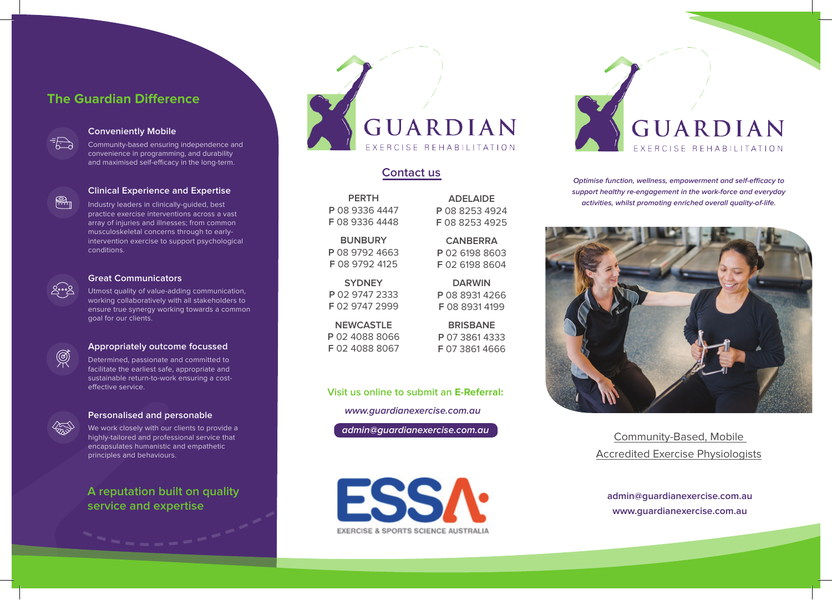# **The Guardian Difference**



#### **Conveniently Mobile**

Community-based ensuring independence and convenience in programming, and durability and maximised self-efficacy in the long-term.



#### **Clinical Experience and Expertise**

Industry leaders in clinically-guided, best practice exercise interventions across a vast array of injuries and illnesses; from common musculoskeletal concerns through to earlyintervention exercise to support psychological conditions.



#### **Great Communicators**

Utmost quality of value-adding communication, working collaboratively with all stakeholders to ensure true synergy working towards a common goal for our clients.



### **Appropriately outcome focussed**

Determined, passionate and committed to facilitate the earliest safe, appropriate and sustainable return-to-work ensuring a costeffective service.



 $\circledR$ 

### **Personalised and personable**

We work closely with our clients to provide a highly-tailored and professional service that encapsulates humanistic and empathetic principles and behaviours.

**A reputation built on quality service and expertise** 



## **Contact us**

**PERTH P** 08 9336 4447 **F** 08 9336 4448

**BUNBURY P** 08 9792 4663 **F** 08 9792 4125

**SYDNEY P** 02 9747 2333 **F** 02 9747 2999

**NEWCASTLE P** 02 4088 8066 **F** 02 4088 8067

**ADELAIDE P** 08 8253 4924 **F** 08 8253 4925

**CANBERRA P** 02 6198 8603 **F** 02 6198 8604

**DARWIN P** 08 8931 4266 **F** 08 8931 4199

**BRISBANE P** 07 3861 4333 **F** 07 3861 4666

### **Visit us online to submit an E-Referral:**

**www.guardianexercise.com.au**

**admin@guardianexercise.com.au**

**FSS/ EXERCISE & SPORTS SCIENCE AUSTRALIA**  GUARDIAN ERCISE REHABILITATION

**Optimise function, wellness, empowerment and self-efficacy to support healthy re-engagement in the work-force and everyday activities, whilst promoting enriched overall quality-of-life.**



Community-Based, Mobile Accredited Exercise Physiologists

**admin@guardianexercise.com.au www.guardianexercise.com.au**